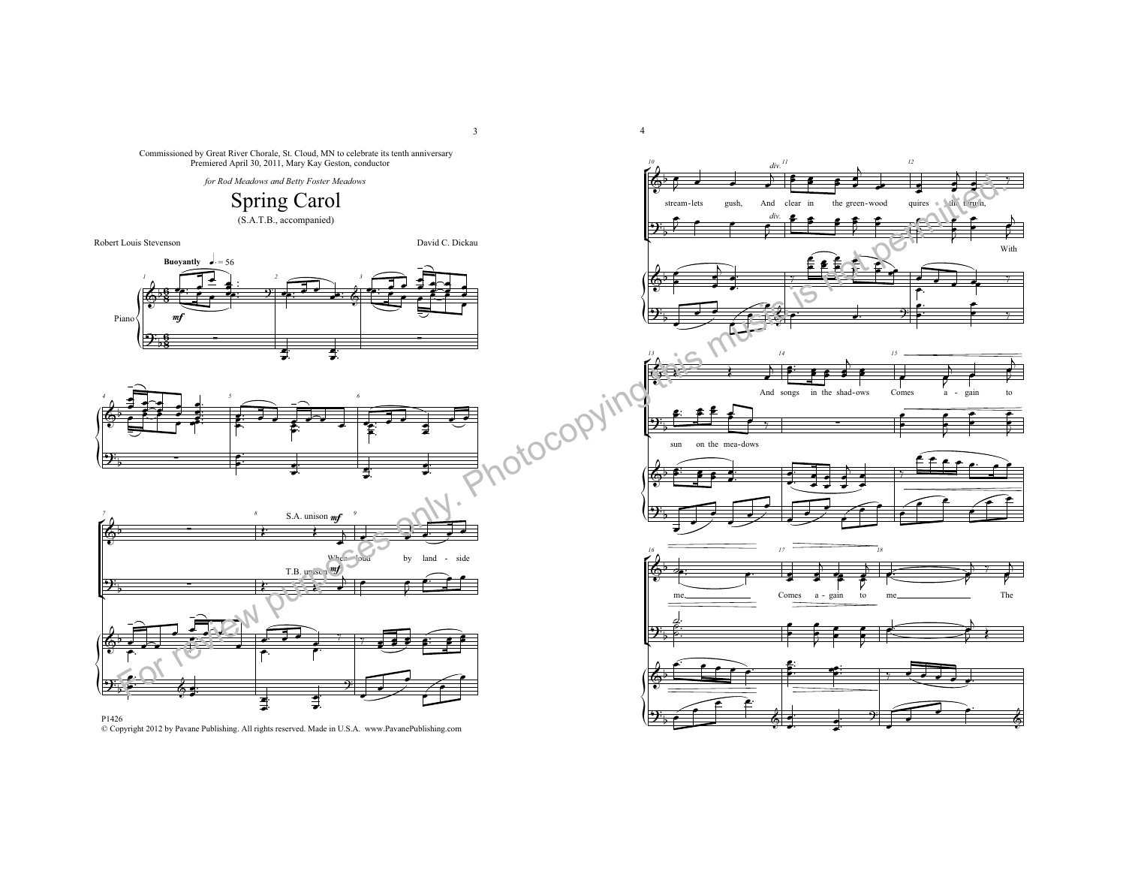Commissioned by Great River Chorale, St. Cloud, MN to celebrate its tenth anniversary<br>Premiered April 30, 2011, Mary Kay Geston, conductor

for Rod Meadows and Betty Foster Meadows



Robert Louis Stevenson

David C. Dickau

 $\overline{\mathbf{3}}$ 









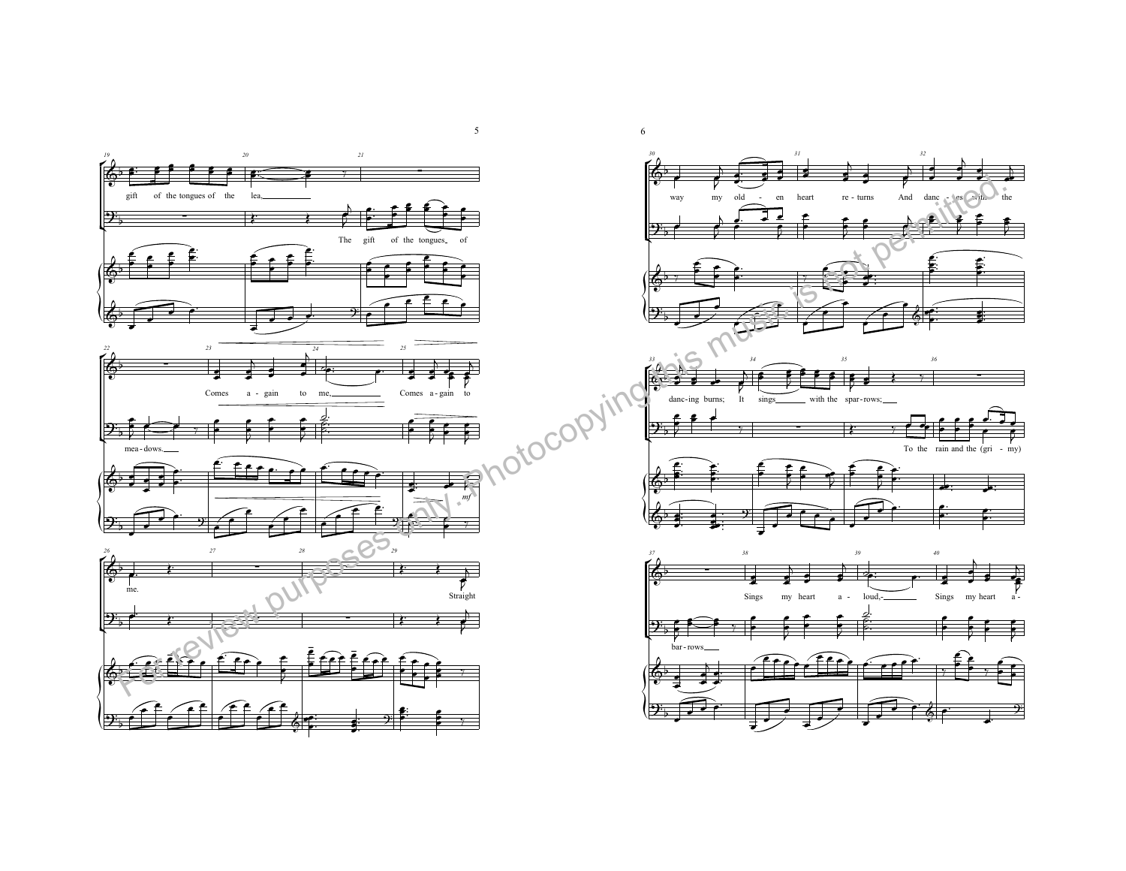



 $6\phantom{.}6$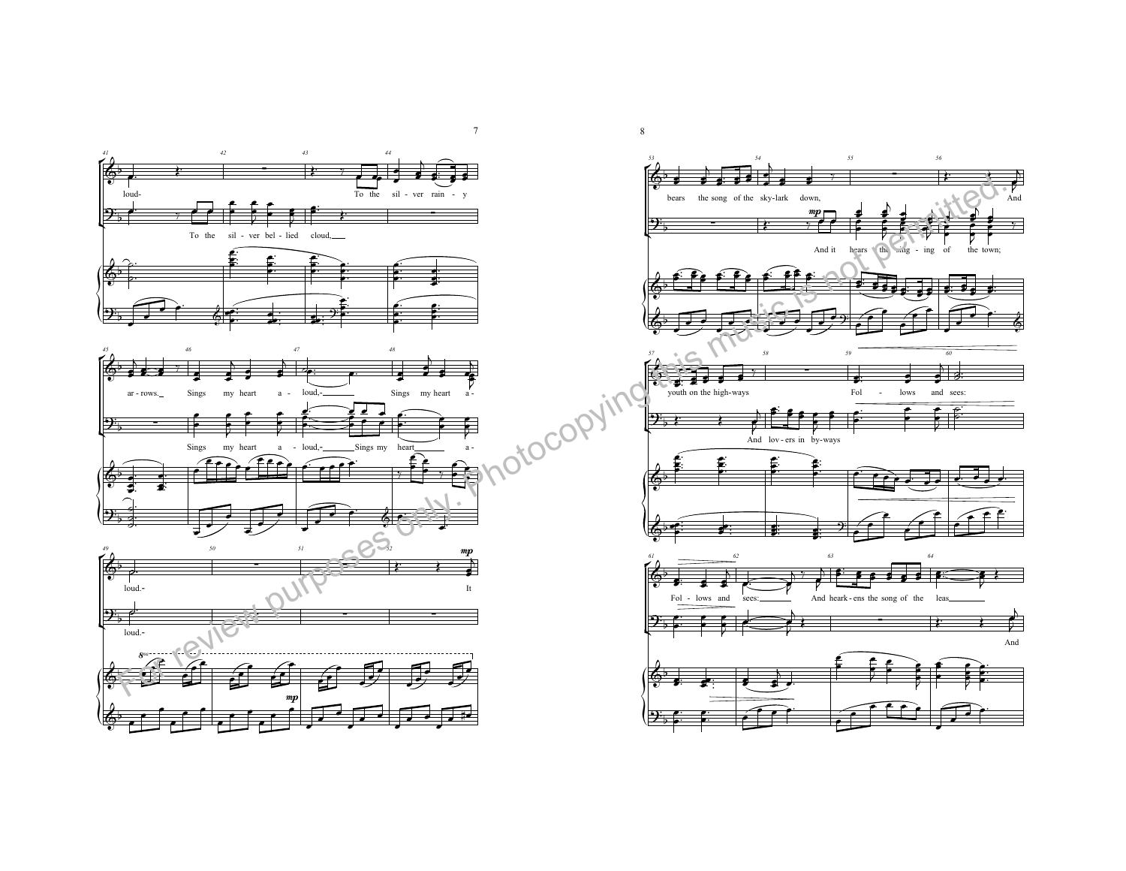

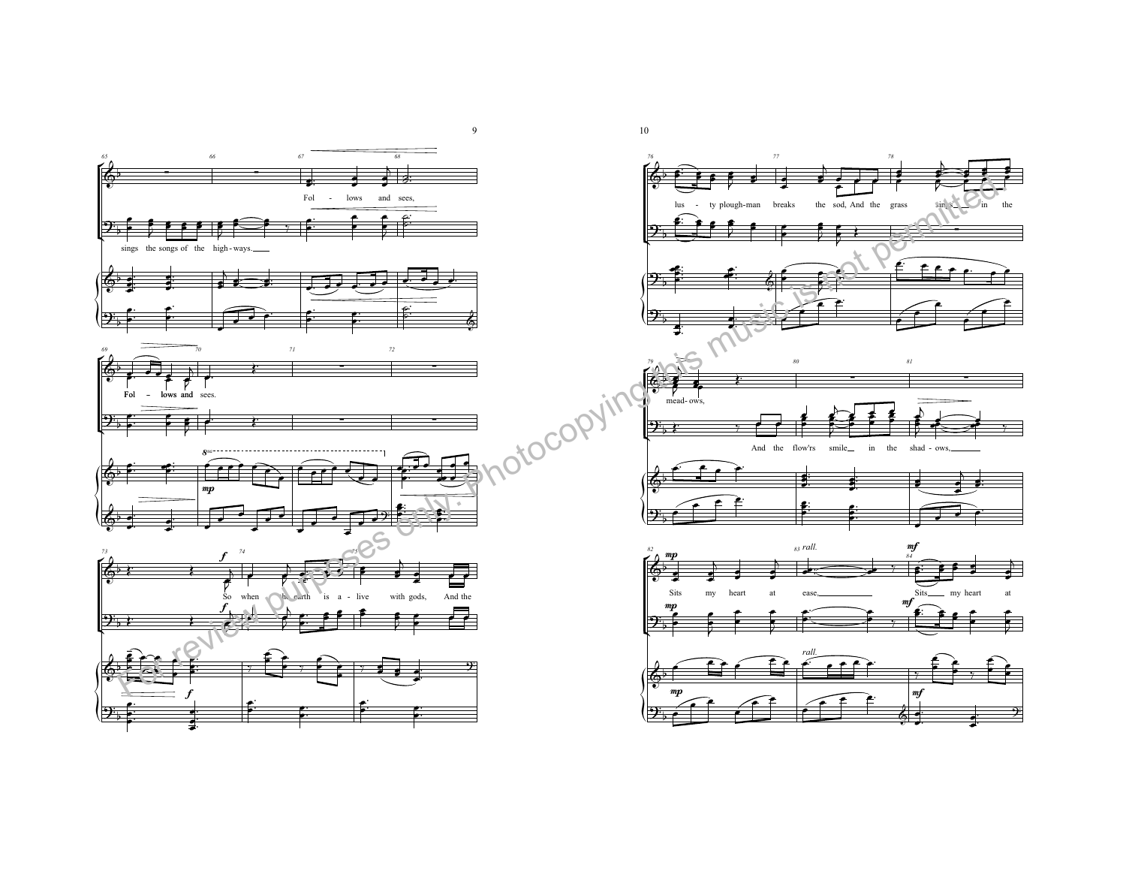